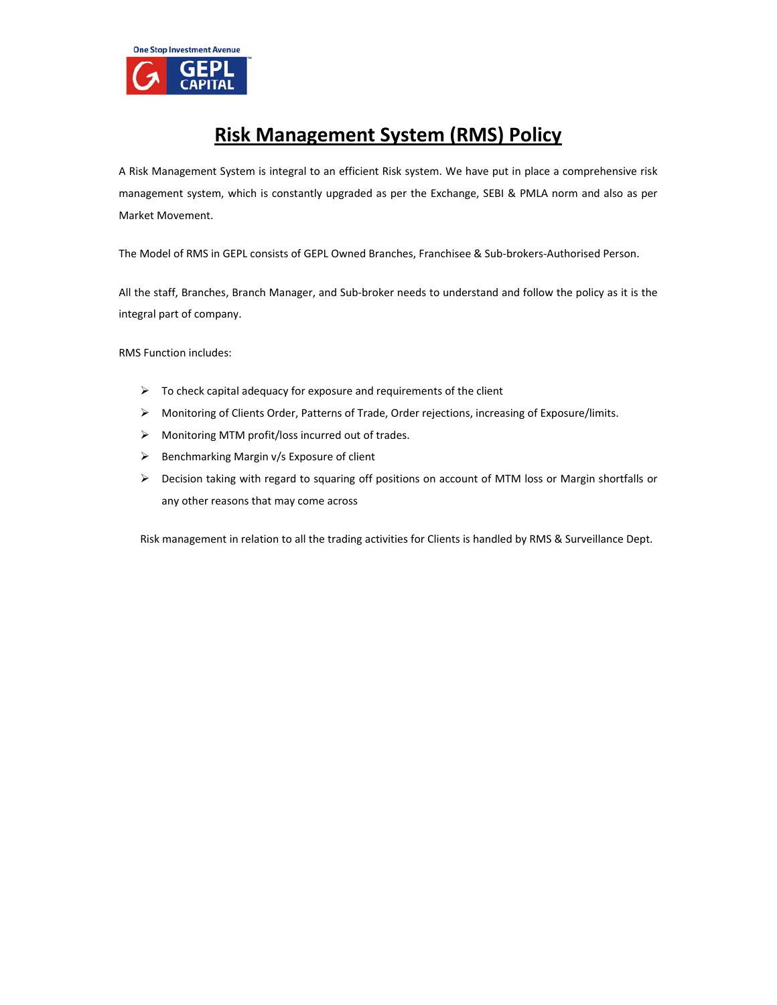

# **Risk Management System (RMS) Policy**

A Risk Management System is integral to an efficient Risk system. We have put in place a comprehensive risk management system, which is constantly upgraded as per the Exchange, SEBI & PMLA norm and also as per Market Movement.

The Model of RMS in GEPL consists of GEPL Owned Branches, Franchisee & Sub‐brokers‐Authorised Person.

All the staff, Branches, Branch Manager, and Sub‐broker needs to understand and follow the policy as it is the integral part of company.

RMS Function includes:

- $\triangleright$  To check capital adequacy for exposure and requirements of the client
- Monitoring of Clients Order, Patterns of Trade, Order rejections, increasing of Exposure/limits.
- Monitoring MTM profit/loss incurred out of trades.
- $\triangleright$  Benchmarking Margin v/s Exposure of client
- $\triangleright$  Decision taking with regard to squaring off positions on account of MTM loss or Margin shortfalls or any other reasons that may come across

Risk management in relation to all the trading activities for Clients is handled by RMS & Surveillance Dept.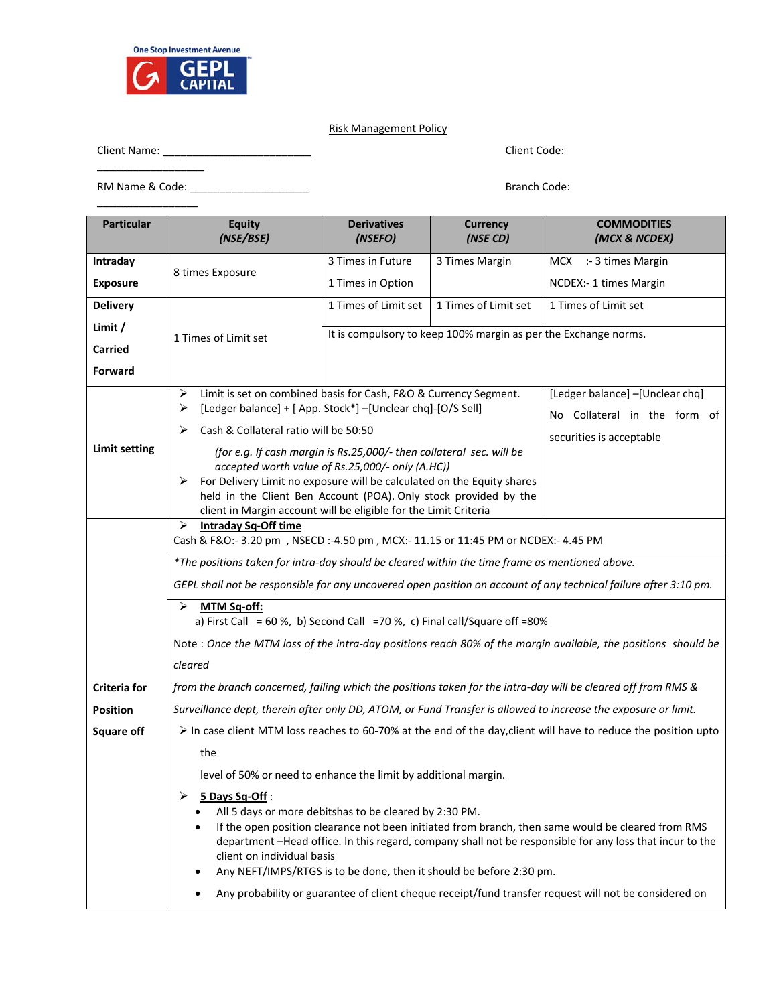

## Risk Management Policy

Client Name: \_\_\_\_\_\_\_\_\_\_\_\_\_\_\_\_\_\_\_\_\_\_\_\_\_ Client Code:

 $\overline{\phantom{a}}$ RM Name & Code: \_\_\_\_\_\_\_\_\_\_\_\_\_\_\_\_\_\_\_\_ Branch Code:  $\overline{\phantom{a}}$  , where  $\overline{\phantom{a}}$ 

| <b>Particular</b>    | <b>Equity</b><br>(NSE/BSE)                                                                                                                                                                                                                                                                                                                                                                                            | <b>Derivatives</b><br>(NSEFO)                                   | <b>Currency</b><br>(NSE CD) | <b>COMMODITIES</b><br>(MCX & NCDEX)                                                                              |  |  |  |
|----------------------|-----------------------------------------------------------------------------------------------------------------------------------------------------------------------------------------------------------------------------------------------------------------------------------------------------------------------------------------------------------------------------------------------------------------------|-----------------------------------------------------------------|-----------------------------|------------------------------------------------------------------------------------------------------------------|--|--|--|
| Intraday             | 8 times Exposure                                                                                                                                                                                                                                                                                                                                                                                                      | 3 Times in Future                                               | 3 Times Margin              | :- 3 times Margin<br>MCX                                                                                         |  |  |  |
| <b>Exposure</b>      |                                                                                                                                                                                                                                                                                                                                                                                                                       | 1 Times in Option                                               |                             | NCDEX:- 1 times Margin                                                                                           |  |  |  |
| <b>Delivery</b>      |                                                                                                                                                                                                                                                                                                                                                                                                                       | 1 Times of Limit set                                            | 1 Times of Limit set        | 1 Times of Limit set                                                                                             |  |  |  |
| Limit /              | 1 Times of Limit set                                                                                                                                                                                                                                                                                                                                                                                                  | It is compulsory to keep 100% margin as per the Exchange norms. |                             |                                                                                                                  |  |  |  |
| <b>Carried</b>       |                                                                                                                                                                                                                                                                                                                                                                                                                       |                                                                 |                             |                                                                                                                  |  |  |  |
| <b>Forward</b>       |                                                                                                                                                                                                                                                                                                                                                                                                                       |                                                                 |                             |                                                                                                                  |  |  |  |
| <b>Limit setting</b> | ➤<br>Limit is set on combined basis for Cash, F&O & Currency Segment.<br>[Ledger balance] -[Unclear chq]<br>[Ledger balance] + [ App. Stock*] - [Unclear chq] - [O/S Sell]<br>≻<br>No Collateral in the form of<br>Cash & Collateral ratio will be 50:50<br>➤<br>securities is acceptable<br>(for e.g. If cash margin is Rs.25,000/- then collateral sec. will be<br>accepted worth value of Rs.25,000/- only (A.HC)) |                                                                 |                             |                                                                                                                  |  |  |  |
|                      | For Delivery Limit no exposure will be calculated on the Equity shares<br>➤<br>held in the Client Ben Account (POA). Only stock provided by the<br>client in Margin account will be eligible for the Limit Criteria                                                                                                                                                                                                   |                                                                 |                             |                                                                                                                  |  |  |  |
|                      | <b>Intraday Sq-Off time</b><br>⋗<br>Cash & F&O:- 3.20 pm , NSECD :- 4.50 pm , MCX:- 11.15 or 11:45 PM or NCDEX:- 4.45 PM                                                                                                                                                                                                                                                                                              |                                                                 |                             |                                                                                                                  |  |  |  |
|                      | *The positions taken for intra-day should be cleared within the time frame as mentioned above.                                                                                                                                                                                                                                                                                                                        |                                                                 |                             |                                                                                                                  |  |  |  |
|                      |                                                                                                                                                                                                                                                                                                                                                                                                                       |                                                                 |                             | GEPL shall not be responsible for any uncovered open position on account of any technical failure after 3:10 pm. |  |  |  |
|                      | ≻<br>MTM Sq-off:<br>a) First Call = 60 %, b) Second Call = 70 %, c) Final call/Square off = 80%                                                                                                                                                                                                                                                                                                                       |                                                                 |                             |                                                                                                                  |  |  |  |
|                      |                                                                                                                                                                                                                                                                                                                                                                                                                       |                                                                 |                             | Note : Once the MTM loss of the intra-day positions reach 80% of the margin available, the positions should be   |  |  |  |
|                      | cleared                                                                                                                                                                                                                                                                                                                                                                                                               |                                                                 |                             |                                                                                                                  |  |  |  |
| <b>Criteria for</b>  |                                                                                                                                                                                                                                                                                                                                                                                                                       |                                                                 |                             | from the branch concerned, failing which the positions taken for the intra-day will be cleared off from RMS &    |  |  |  |
| <b>Position</b>      |                                                                                                                                                                                                                                                                                                                                                                                                                       |                                                                 |                             | Surveillance dept, therein after only DD, ATOM, or Fund Transfer is allowed to increase the exposure or limit.   |  |  |  |
| <b>Square off</b>    | In case client MTM loss reaches to 60-70% at the end of the day, client will have to reduce the position upto                                                                                                                                                                                                                                                                                                         |                                                                 |                             |                                                                                                                  |  |  |  |
|                      | the                                                                                                                                                                                                                                                                                                                                                                                                                   |                                                                 |                             |                                                                                                                  |  |  |  |
|                      | level of 50% or need to enhance the limit by additional margin.                                                                                                                                                                                                                                                                                                                                                       |                                                                 |                             |                                                                                                                  |  |  |  |
|                      | 5 Days Sq-Off:<br>⋗<br>All 5 days or more debitshas to be cleared by 2:30 PM.<br>If the open position clearance not been initiated from branch, then same would be cleared from RMS<br>٠<br>department -Head office. In this regard, company shall not be responsible for any loss that incur to the<br>client on individual basis<br>Any NEFT/IMPS/RTGS is to be done, then it should be before 2:30 pm.             |                                                                 |                             |                                                                                                                  |  |  |  |
|                      | Any probability or guarantee of client cheque receipt/fund transfer request will not be considered on                                                                                                                                                                                                                                                                                                                 |                                                                 |                             |                                                                                                                  |  |  |  |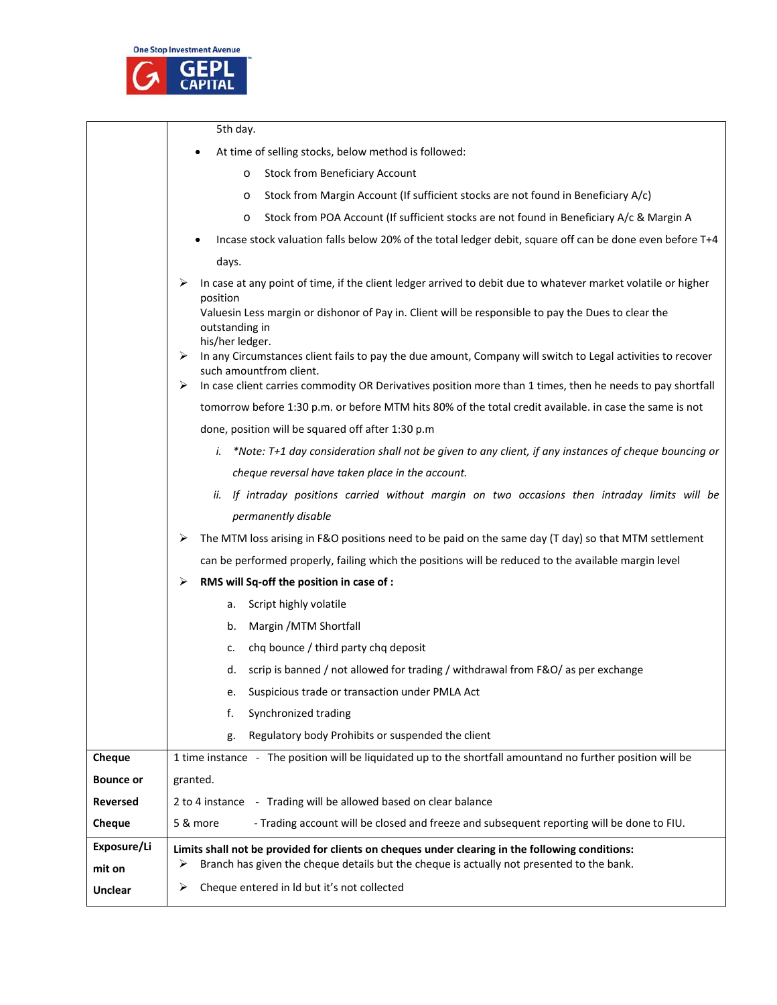

|                  | 5th day.                                                                                                                                                                                                                                                |  |  |
|------------------|---------------------------------------------------------------------------------------------------------------------------------------------------------------------------------------------------------------------------------------------------------|--|--|
|                  | At time of selling stocks, below method is followed:                                                                                                                                                                                                    |  |  |
|                  | <b>Stock from Beneficiary Account</b><br>O                                                                                                                                                                                                              |  |  |
|                  | Stock from Margin Account (If sufficient stocks are not found in Beneficiary A/c)<br>O                                                                                                                                                                  |  |  |
|                  | Stock from POA Account (If sufficient stocks are not found in Beneficiary A/c & Margin A<br>O                                                                                                                                                           |  |  |
|                  | Incase stock valuation falls below 20% of the total ledger debit, square off can be done even before T+4                                                                                                                                                |  |  |
|                  | days.                                                                                                                                                                                                                                                   |  |  |
|                  | In case at any point of time, if the client ledger arrived to debit due to whatever market volatile or higher<br>≻<br>position<br>Valuesin Less margin or dishonor of Pay in. Client will be responsible to pay the Dues to clear the<br>outstanding in |  |  |
|                  | his/her ledger.                                                                                                                                                                                                                                         |  |  |
|                  | In any Circumstances client fails to pay the due amount, Company will switch to Legal activities to recover<br>➤<br>such amountfrom client.                                                                                                             |  |  |
|                  | In case client carries commodity OR Derivatives position more than 1 times, then he needs to pay shortfall<br>➤                                                                                                                                         |  |  |
|                  | tomorrow before 1:30 p.m. or before MTM hits 80% of the total credit available. in case the same is not                                                                                                                                                 |  |  |
|                  | done, position will be squared off after 1:30 p.m                                                                                                                                                                                                       |  |  |
|                  | *Note: T+1 day consideration shall not be given to any client, if any instances of cheque bouncing or<br>i.                                                                                                                                             |  |  |
|                  | cheque reversal have taken place in the account.                                                                                                                                                                                                        |  |  |
|                  | If intraday positions carried without margin on two occasions then intraday limits will be<br>ii.                                                                                                                                                       |  |  |
|                  | permanently disable                                                                                                                                                                                                                                     |  |  |
|                  | The MTM loss arising in F&O positions need to be paid on the same day (T day) so that MTM settlement<br>⋗                                                                                                                                               |  |  |
|                  | can be performed properly, failing which the positions will be reduced to the available margin level                                                                                                                                                    |  |  |
|                  | RMS will Sq-off the position in case of :<br>≻                                                                                                                                                                                                          |  |  |
|                  | Script highly volatile<br>a.                                                                                                                                                                                                                            |  |  |
|                  | Margin / MTM Shortfall<br>b.                                                                                                                                                                                                                            |  |  |
|                  | chq bounce / third party chq deposit<br>c.                                                                                                                                                                                                              |  |  |
|                  | scrip is banned / not allowed for trading / withdrawal from F&O/ as per exchange<br>d.                                                                                                                                                                  |  |  |
|                  | Suspicious trade or transaction under PMLA Act<br>e.                                                                                                                                                                                                    |  |  |
|                  | Synchronized trading<br>f.                                                                                                                                                                                                                              |  |  |
|                  | Regulatory body Prohibits or suspended the client<br>g.                                                                                                                                                                                                 |  |  |
| Cheque           | 1 time instance - The position will be liquidated up to the shortfall amountand no further position will be                                                                                                                                             |  |  |
| <b>Bounce or</b> | granted.                                                                                                                                                                                                                                                |  |  |
| <b>Reversed</b>  | 2 to 4 instance - Trading will be allowed based on clear balance                                                                                                                                                                                        |  |  |
| Cheque           | 5 & more<br>- Trading account will be closed and freeze and subsequent reporting will be done to FIU.                                                                                                                                                   |  |  |
| Exposure/Li      | Limits shall not be provided for clients on cheques under clearing in the following conditions:                                                                                                                                                         |  |  |
| mit on           | Branch has given the cheque details but the cheque is actually not presented to the bank.<br>⋗                                                                                                                                                          |  |  |
| <b>Unclear</b>   | Cheque entered in Id but it's not collected<br>⋗                                                                                                                                                                                                        |  |  |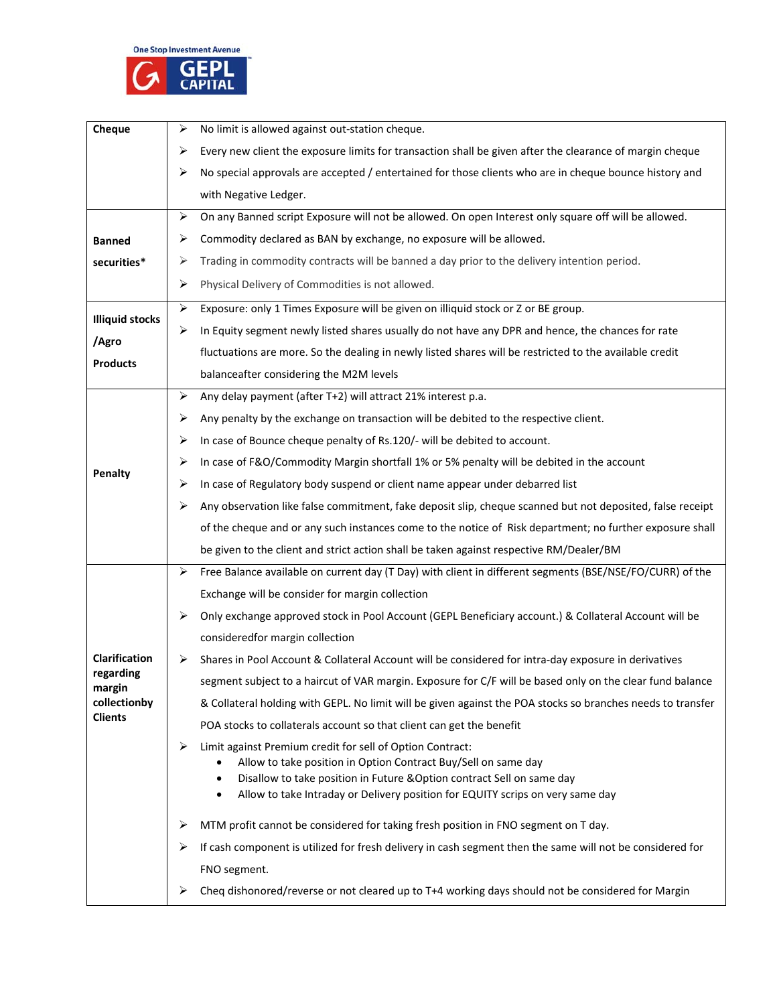

| Cheque                                                | ➤                     | No limit is allowed against out-station cheque.                                                                             |  |  |
|-------------------------------------------------------|-----------------------|-----------------------------------------------------------------------------------------------------------------------------|--|--|
|                                                       | ≻                     | Every new client the exposure limits for transaction shall be given after the clearance of margin cheque                    |  |  |
|                                                       | ≻                     | No special approvals are accepted / entertained for those clients who are in cheque bounce history and                      |  |  |
|                                                       |                       | with Negative Ledger.                                                                                                       |  |  |
|                                                       | ➤                     | On any Banned script Exposure will not be allowed. On open Interest only square off will be allowed.                        |  |  |
| <b>Banned</b>                                         | ⋗                     | Commodity declared as BAN by exchange, no exposure will be allowed.                                                         |  |  |
| securities*                                           | ➤                     | Trading in commodity contracts will be banned a day prior to the delivery intention period.                                 |  |  |
|                                                       | ➤                     | Physical Delivery of Commodities is not allowed.                                                                            |  |  |
| <b>Illiquid stocks</b>                                | $\blacktriangleright$ | Exposure: only 1 Times Exposure will be given on illiquid stock or Z or BE group.                                           |  |  |
|                                                       | ➤                     | In Equity segment newly listed shares usually do not have any DPR and hence, the chances for rate                           |  |  |
| /Agro                                                 |                       | fluctuations are more. So the dealing in newly listed shares will be restricted to the available credit                     |  |  |
| <b>Products</b>                                       |                       | balanceafter considering the M2M levels                                                                                     |  |  |
|                                                       | ⋗                     | Any delay payment (after T+2) will attract 21% interest p.a.                                                                |  |  |
|                                                       | ≻                     | Any penalty by the exchange on transaction will be debited to the respective client.                                        |  |  |
|                                                       | ⋗                     | In case of Bounce cheque penalty of Rs.120/- will be debited to account.                                                    |  |  |
| Penalty                                               | ≻                     | In case of F&O/Commodity Margin shortfall 1% or 5% penalty will be debited in the account                                   |  |  |
|                                                       | ⋗                     | In case of Regulatory body suspend or client name appear under debarred list                                                |  |  |
|                                                       | ➤                     | Any observation like false commitment, fake deposit slip, cheque scanned but not deposited, false receipt                   |  |  |
|                                                       |                       | of the cheque and or any such instances come to the notice of Risk department; no further exposure shall                    |  |  |
|                                                       |                       | be given to the client and strict action shall be taken against respective RM/Dealer/BM                                     |  |  |
|                                                       | ➤                     | Free Balance available on current day (T Day) with client in different segments (BSE/NSE/FO/CURR) of the                    |  |  |
|                                                       |                       | Exchange will be consider for margin collection                                                                             |  |  |
|                                                       | ≻                     | Only exchange approved stock in Pool Account (GEPL Beneficiary account.) & Collateral Account will be                       |  |  |
|                                                       |                       | consideredfor margin collection                                                                                             |  |  |
| <b>Clarification</b>                                  | ⋗                     | Shares in Pool Account & Collateral Account will be considered for intra-day exposure in derivatives                        |  |  |
| regarding<br>margin<br>collectionby<br><b>Clients</b> |                       | segment subject to a haircut of VAR margin. Exposure for C/F will be based only on the clear fund balance                   |  |  |
|                                                       |                       | & Collateral holding with GEPL. No limit will be given against the POA stocks so branches needs to transfer                 |  |  |
|                                                       |                       | POA stocks to collaterals account so that client can get the benefit                                                        |  |  |
|                                                       | ⋗                     | Limit against Premium credit for sell of Option Contract:<br>Allow to take position in Option Contract Buy/Sell on same day |  |  |
|                                                       |                       | Disallow to take position in Future & Option contract Sell on same day<br>$\bullet$                                         |  |  |
|                                                       |                       | Allow to take Intraday or Delivery position for EQUITY scrips on very same day<br>٠                                         |  |  |
|                                                       | ⋗                     | MTM profit cannot be considered for taking fresh position in FNO segment on T day.                                          |  |  |
|                                                       | ⋗                     | If cash component is utilized for fresh delivery in cash segment then the same will not be considered for                   |  |  |
|                                                       |                       | FNO segment.                                                                                                                |  |  |
|                                                       | ≻                     | Cheq dishonored/reverse or not cleared up to T+4 working days should not be considered for Margin                           |  |  |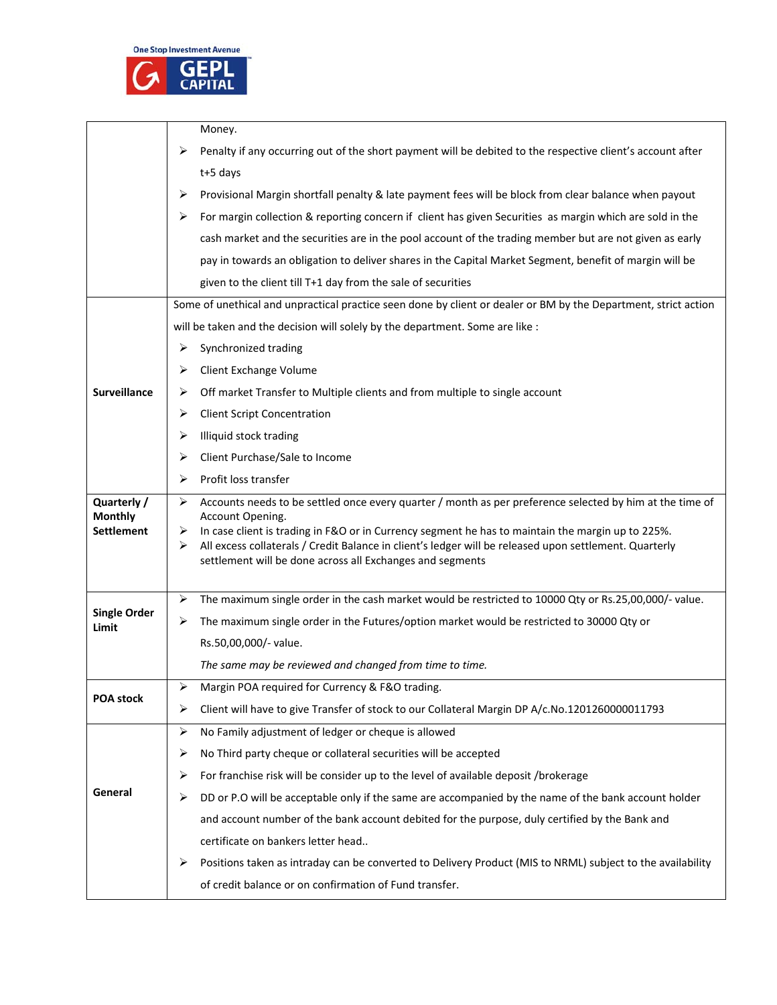

|                                     | Money.<br>Penalty if any occurring out of the short payment will be debited to the respective client's account after<br>⋗  |  |  |  |  |
|-------------------------------------|----------------------------------------------------------------------------------------------------------------------------|--|--|--|--|
|                                     |                                                                                                                            |  |  |  |  |
|                                     | t+5 days                                                                                                                   |  |  |  |  |
|                                     | Provisional Margin shortfall penalty & late payment fees will be block from clear balance when payout<br>⋗                 |  |  |  |  |
|                                     | For margin collection & reporting concern if client has given Securities as margin which are sold in the<br>⋗              |  |  |  |  |
|                                     | cash market and the securities are in the pool account of the trading member but are not given as early                    |  |  |  |  |
|                                     | pay in towards an obligation to deliver shares in the Capital Market Segment, benefit of margin will be                    |  |  |  |  |
|                                     | given to the client till T+1 day from the sale of securities                                                               |  |  |  |  |
|                                     | Some of unethical and unpractical practice seen done by client or dealer or BM by the Department, strict action            |  |  |  |  |
|                                     | will be taken and the decision will solely by the department. Some are like :                                              |  |  |  |  |
|                                     | Synchronized trading<br>⋗                                                                                                  |  |  |  |  |
|                                     | Client Exchange Volume<br>⋗                                                                                                |  |  |  |  |
| Surveillance                        | Off market Transfer to Multiple clients and from multiple to single account<br>⋗                                           |  |  |  |  |
|                                     | <b>Client Script Concentration</b><br>➤                                                                                    |  |  |  |  |
|                                     | Illiquid stock trading<br>⋗                                                                                                |  |  |  |  |
|                                     | Client Purchase/Sale to Income<br>⋗                                                                                        |  |  |  |  |
|                                     | Profit loss transfer<br>≻                                                                                                  |  |  |  |  |
| Quarterly /                         | Accounts needs to be settled once every quarter / month as per preference selected by him at the time of<br>≻              |  |  |  |  |
| <b>Monthly</b><br><b>Settlement</b> | Account Opening.<br>In case client is trading in F&O or in Currency segment he has to maintain the margin up to 225%.<br>➤ |  |  |  |  |
|                                     | All excess collaterals / Credit Balance in client's ledger will be released upon settlement. Quarterly<br>⋗                |  |  |  |  |
|                                     | settlement will be done across all Exchanges and segments                                                                  |  |  |  |  |
|                                     | The maximum single order in the cash market would be restricted to 10000 Qty or Rs.25,00,000/- value.<br>⋗                 |  |  |  |  |
| <b>Single Order</b>                 | The maximum single order in the Futures/option market would be restricted to 30000 Qty or<br>➤                             |  |  |  |  |
| Limit                               | Rs.50,00,000/- value.                                                                                                      |  |  |  |  |
|                                     | The same may be reviewed and changed from time to time.                                                                    |  |  |  |  |
|                                     | ➤<br>Margin POA required for Currency & F&O trading.                                                                       |  |  |  |  |
| <b>POA stock</b>                    | Client will have to give Transfer of stock to our Collateral Margin DP A/c.No.1201260000011793<br>⋗                        |  |  |  |  |
|                                     | No Family adjustment of ledger or cheque is allowed<br>≻                                                                   |  |  |  |  |
|                                     | No Third party cheque or collateral securities will be accepted<br>⋗                                                       |  |  |  |  |
| General                             | For franchise risk will be consider up to the level of available deposit /brokerage<br>⋗                                   |  |  |  |  |
|                                     | DD or P.O will be acceptable only if the same are accompanied by the name of the bank account holder<br>⋗                  |  |  |  |  |
|                                     | and account number of the bank account debited for the purpose, duly certified by the Bank and                             |  |  |  |  |
|                                     | certificate on bankers letter head                                                                                         |  |  |  |  |
|                                     | Positions taken as intraday can be converted to Delivery Product (MIS to NRML) subject to the availability<br>⋗            |  |  |  |  |
|                                     | of credit balance or on confirmation of Fund transfer.                                                                     |  |  |  |  |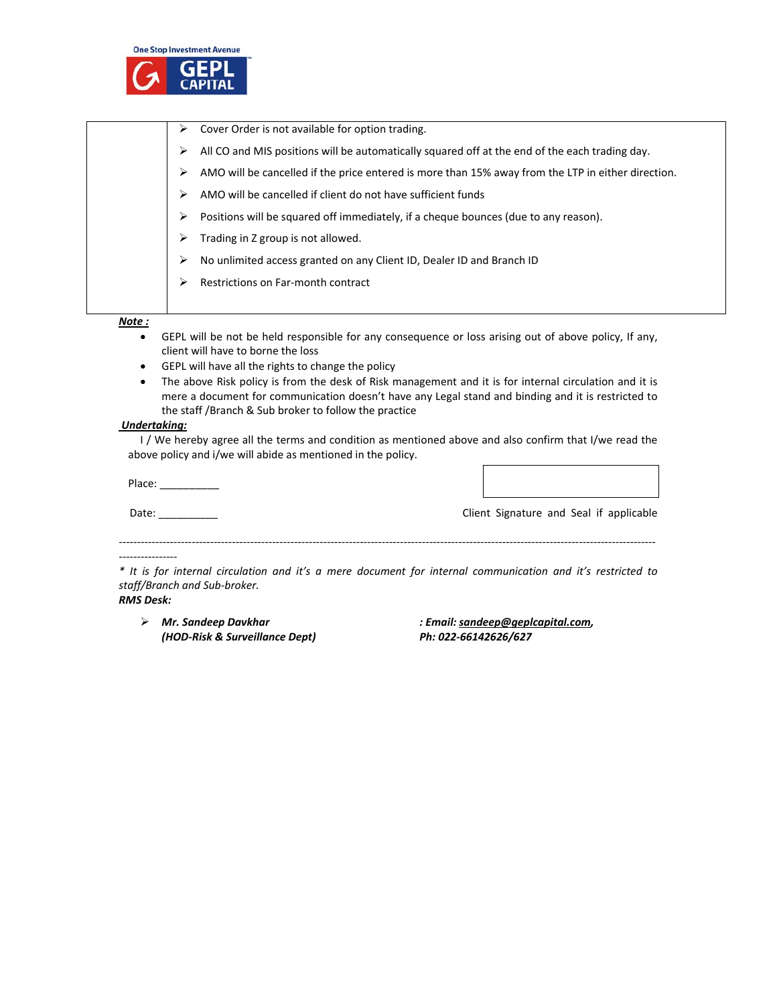

|        | ➤ | Cover Order is not available for option trading.                                                   |
|--------|---|----------------------------------------------------------------------------------------------------|
|        | ⋗ | All CO and MIS positions will be automatically squared off at the end of the each trading day.     |
|        | ⋗ | AMO will be cancelled if the price entered is more than 15% away from the LTP in either direction. |
|        | ⋗ | AMO will be cancelled if client do not have sufficient funds                                       |
|        | ➤ | Positions will be squared off immediately, if a cheque bounces (due to any reason).                |
|        | ⋗ | Trading in Z group is not allowed.                                                                 |
|        | ⋗ | No unlimited access granted on any Client ID, Dealer ID and Branch ID                              |
|        | ⋗ | Restrictions on Far-month contract                                                                 |
|        |   |                                                                                                    |
| Note : |   |                                                                                                    |

- GEPL will be not be held responsible for any consequence or loss arising out of above policy, If any, client will have to borne the loss
- GEPL will have all the rights to change the policy
- The above Risk policy is from the desk of Risk management and it is for internal circulation and it is mere a document for communication doesn't have any Legal stand and binding and it is restricted to the staff /Branch & Sub broker to follow the practice

#### *Undertaking:*

I / We hereby agree all the terms and condition as mentioned above and also confirm that I/we read the above policy and i/we will abide as mentioned in the policy.

Place: \_\_\_\_\_\_\_\_\_\_

Date: \_\_\_\_\_\_\_\_\_\_ Client Signature and Seal if applicable

*‐‐‐‐‐‐‐‐‐‐‐‐‐‐‐‐* 

\* It is for internal circulation and it's a mere document for internal communication and it's restricted to *staff/Branch and Sub‐broker.*

*‐‐‐‐‐‐‐‐‐‐‐‐‐‐‐‐‐‐‐‐‐‐‐‐‐‐‐‐‐‐‐‐‐‐‐‐‐‐‐‐‐‐‐‐‐‐‐‐‐‐‐‐‐‐‐‐‐‐‐‐‐‐‐‐‐‐‐‐‐‐‐‐‐‐‐‐‐‐‐‐‐‐‐‐‐‐‐‐‐‐‐‐‐‐‐‐‐‐‐‐‐‐‐‐‐‐‐‐‐‐‐‐‐‐‐‐‐‐‐‐‐‐‐‐‐‐‐‐‐‐‐‐‐‐‐‐‐‐‐‐‐‐‐‐‐‐‐*

## *RMS Desk:*

 *Mr. Sandeep Davkhar : Email: sandeep@geplcapital.com, (HOD‐Risk & Surveillance Dept) Ph: 022‐66142626/627*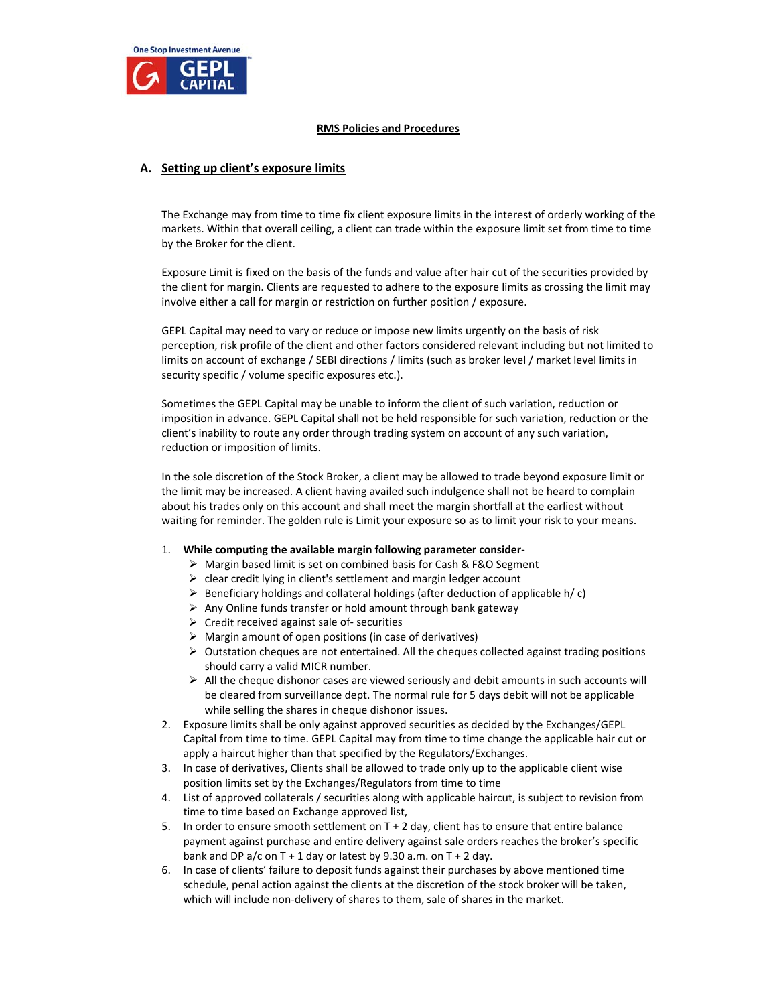

#### **RMS Policies and Procedures**

## **A. Setting up client's exposure limits**

The Exchange may from time to time fix client exposure limits in the interest of orderly working of the markets. Within that overall ceiling, a client can trade within the exposure limit set from time to time by the Broker for the client.

Exposure Limit is fixed on the basis of the funds and value after hair cut of the securities provided by the client for margin. Clients are requested to adhere to the exposure limits as crossing the limit may involve either a call for margin or restriction on further position / exposure.

GEPL Capital may need to vary or reduce or impose new limits urgently on the basis of risk perception, risk profile of the client and other factors considered relevant including but not limited to limits on account of exchange / SEBI directions / limits (such as broker level / market level limits in security specific / volume specific exposures etc.).

Sometimes the GEPL Capital may be unable to inform the client of such variation, reduction or imposition in advance. GEPL Capital shall not be held responsible for such variation, reduction or the client's inability to route any order through trading system on account of any such variation, reduction or imposition of limits.

In the sole discretion of the Stock Broker, a client may be allowed to trade beyond exposure limit or the limit may be increased. A client having availed such indulgence shall not be heard to complain about his trades only on this account and shall meet the margin shortfall at the earliest without waiting for reminder. The golden rule is Limit your exposure so as to limit your risk to your means.

#### 1. **While computing the available margin following parameter consider‐**

- Margin based limit is set on combined basis for Cash & F&O Segment
- $\triangleright$  clear credit lying in client's settlement and margin ledger account
- $\triangleright$  Beneficiary holdings and collateral holdings (after deduction of applicable h/c)
- $\triangleright$  Any Online funds transfer or hold amount through bank gateway
- Credit received against sale of‐ securities
- $\triangleright$  Margin amount of open positions (in case of derivatives)
- $\triangleright$  Outstation cheques are not entertained. All the cheques collected against trading positions should carry a valid MICR number.
- $\triangleright$  All the cheque dishonor cases are viewed seriously and debit amounts in such accounts will be cleared from surveillance dept. The normal rule for 5 days debit will not be applicable while selling the shares in cheque dishonor issues.
- 2. Exposure limits shall be only against approved securities as decided by the Exchanges/GEPL Capital from time to time. GEPL Capital may from time to time change the applicable hair cut or apply a haircut higher than that specified by the Regulators/Exchanges.
- 3. In case of derivatives, Clients shall be allowed to trade only up to the applicable client wise position limits set by the Exchanges/Regulators from time to time
- 4. List of approved collaterals / securities along with applicable haircut, is subject to revision from time to time based on Exchange approved list,
- 5. In order to ensure smooth settlement on T + 2 day, client has to ensure that entire balance payment against purchase and entire delivery against sale orders reaches the broker's specific bank and DP a/c on T + 1 day or latest by 9.30 a.m. on T + 2 day.
- 6. In case of clients' failure to deposit funds against their purchases by above mentioned time schedule, penal action against the clients at the discretion of the stock broker will be taken, which will include non-delivery of shares to them, sale of shares in the market.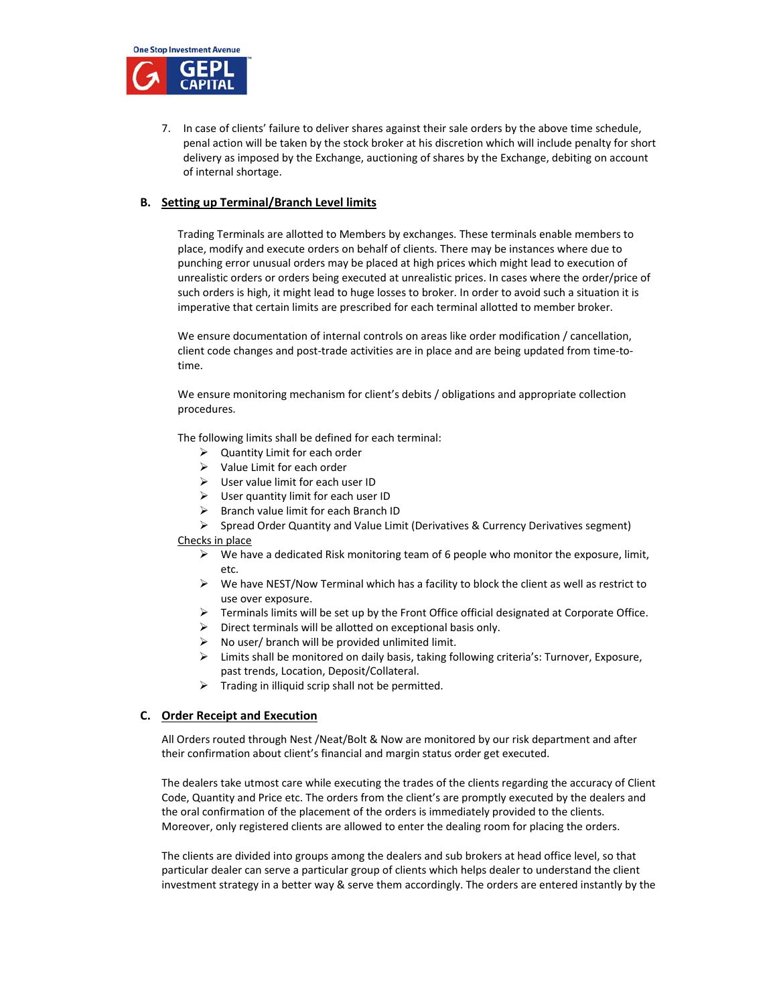

7. In case of clients' failure to deliver shares against their sale orders by the above time schedule, penal action will be taken by the stock broker at his discretion which will include penalty for short delivery as imposed by the Exchange, auctioning of shares by the Exchange, debiting on account of internal shortage.

## **B. Setting up Terminal/Branch Level limits**

Trading Terminals are allotted to Members by exchanges. These terminals enable members to place, modify and execute orders on behalf of clients. There may be instances where due to punching error unusual orders may be placed at high prices which might lead to execution of unrealistic orders or orders being executed at unrealistic prices. In cases where the order/price of such orders is high, it might lead to huge losses to broker. In order to avoid such a situation it is imperative that certain limits are prescribed for each terminal allotted to member broker.

We ensure documentation of internal controls on areas like order modification / cancellation, client code changes and post‐trade activities are in place and are being updated from time‐to‐ time.

We ensure monitoring mechanism for client's debits / obligations and appropriate collection procedures.

The following limits shall be defined for each terminal:

- $\triangleright$  Quantity Limit for each order
- $\triangleright$  Value Limit for each order
- $\triangleright$  User value limit for each user ID
- $\triangleright$  User quantity limit for each user ID
- $\triangleright$  Branch value limit for each Branch ID
- $\triangleright$  Spread Order Quantity and Value Limit (Derivatives & Currency Derivatives segment)

Checks in place

- $\triangleright$  We have a dedicated Risk monitoring team of 6 people who monitor the exposure, limit, etc.
- $\triangleright$  We have NEST/Now Terminal which has a facility to block the client as well as restrict to use over exposure.
- $\triangleright$  Terminals limits will be set up by the Front Office official designated at Corporate Office.
- $\triangleright$  Direct terminals will be allotted on exceptional basis only.
- No user/ branch will be provided unlimited limit.
- Limits shall be monitored on daily basis, taking following criteria's: Turnover, Exposure, past trends, Location, Deposit/Collateral.
- $\triangleright$  Trading in illiquid scrip shall not be permitted.

## **C. Order Receipt and Execution**

All Orders routed through Nest /Neat/Bolt & Now are monitored by our risk department and after their confirmation about client's financial and margin status order get executed.

The dealers take utmost care while executing the trades of the clients regarding the accuracy of Client Code, Quantity and Price etc. The orders from the client's are promptly executed by the dealers and the oral confirmation of the placement of the orders is immediately provided to the clients. Moreover, only registered clients are allowed to enter the dealing room for placing the orders.

The clients are divided into groups among the dealers and sub brokers at head office level, so that particular dealer can serve a particular group of clients which helps dealer to understand the client investment strategy in a better way & serve them accordingly. The orders are entered instantly by the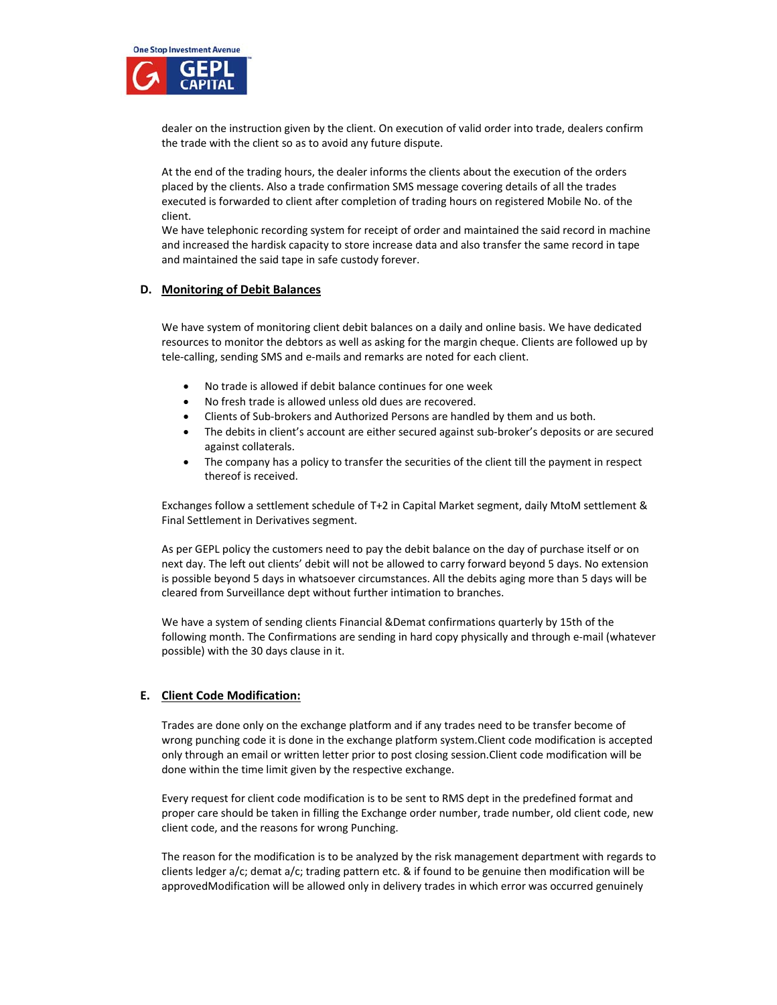

dealer on the instruction given by the client. On execution of valid order into trade, dealers confirm the trade with the client so as to avoid any future dispute.

At the end of the trading hours, the dealer informs the clients about the execution of the orders placed by the clients. Also a trade confirmation SMS message covering details of all the trades executed is forwarded to client after completion of trading hours on registered Mobile No. of the client.

We have telephonic recording system for receipt of order and maintained the said record in machine and increased the hardisk capacity to store increase data and also transfer the same record in tape and maintained the said tape in safe custody forever.

## **D. Monitoring of Debit Balances**

We have system of monitoring client debit balances on a daily and online basis. We have dedicated resources to monitor the debtors as well as asking for the margin cheque. Clients are followed up by tele‐calling, sending SMS and e‐mails and remarks are noted for each client.

- No trade is allowed if debit balance continues for one week
- No fresh trade is allowed unless old dues are recovered.
- Clients of Sub‐brokers and Authorized Persons are handled by them and us both.
- The debits in client's account are either secured against sub‐broker's deposits or are secured against collaterals.
- The company has a policy to transfer the securities of the client till the payment in respect thereof is received.

Exchanges follow a settlement schedule of T+2 in Capital Market segment, daily MtoM settlement & Final Settlement in Derivatives segment.

As per GEPL policy the customers need to pay the debit balance on the day of purchase itself or on next day. The left out clients' debit will not be allowed to carry forward beyond 5 days. No extension is possible beyond 5 days in whatsoever circumstances. All the debits aging more than 5 days will be cleared from Surveillance dept without further intimation to branches.

We have a system of sending clients Financial &Demat confirmations quarterly by 15th of the following month. The Confirmations are sending in hard copy physically and through e‐mail (whatever possible) with the 30 days clause in it.

#### **E. Client Code Modification:**

Trades are done only on the exchange platform and if any trades need to be transfer become of wrong punching code it is done in the exchange platform system.Client code modification is accepted only through an email or written letter prior to post closing session.Client code modification will be done within the time limit given by the respective exchange.

Every request for client code modification is to be sent to RMS dept in the predefined format and proper care should be taken in filling the Exchange order number, trade number, old client code, new client code, and the reasons for wrong Punching.

The reason for the modification is to be analyzed by the risk management department with regards to clients ledger a/c; demat a/c; trading pattern etc. & if found to be genuine then modification will be approvedModification will be allowed only in delivery trades in which error was occurred genuinely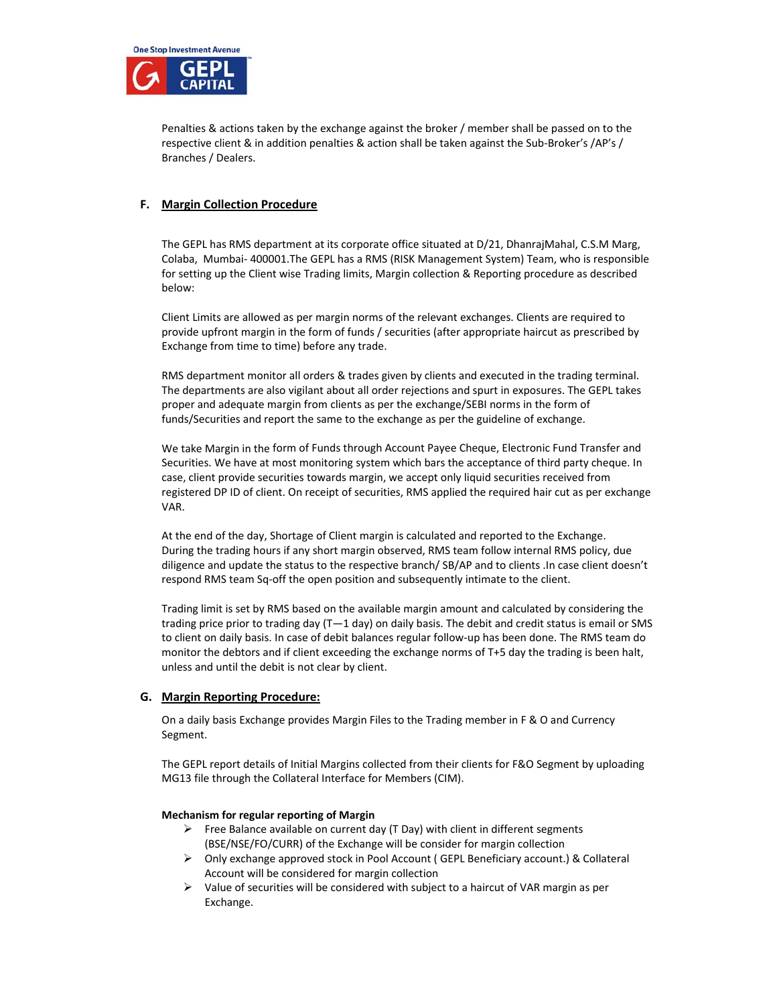

Penalties & actions taken by the exchange against the broker / member shall be passed on to the respective client & in addition penalties & action shall be taken against the Sub‐Broker's /AP's / Branches / Dealers.

## **F. Margin Collection Procedure**

The GEPL has RMS department at its corporate office situated at D/21, DhanrajMahal, C.S.M Marg, Colaba, Mumbai‐ 400001.The GEPL has a RMS (RISK Management System) Team, who is responsible for setting up the Client wise Trading limits, Margin collection & Reporting procedure as described below:

Client Limits are allowed as per margin norms of the relevant exchanges. Clients are required to provide upfront margin in the form of funds / securities (after appropriate haircut as prescribed by Exchange from time to time) before any trade.

RMS department monitor all orders & trades given by clients and executed in the trading terminal. The departments are also vigilant about all order rejections and spurt in exposures. The GEPL takes proper and adequate margin from clients as per the exchange/SEBI norms in the form of funds/Securities and report the same to the exchange as per the guideline of exchange.

We take Margin in the form of Funds through Account Payee Cheque, Electronic Fund Transfer and Securities. We have at most monitoring system which bars the acceptance of third party cheque. In case, client provide securities towards margin, we accept only liquid securities received from registered DP ID of client. On receipt of securities, RMS applied the required hair cut as per exchange VAR.

At the end of the day, Shortage of Client margin is calculated and reported to the Exchange. During the trading hours if any short margin observed, RMS team follow internal RMS policy, due diligence and update the status to the respective branch/ SB/AP and to clients .In case client doesn't respond RMS team Sq‐off the open position and subsequently intimate to the client.

Trading limit is set by RMS based on the available margin amount and calculated by considering the trading price prior to trading day (T—1 day) on daily basis. The debit and credit status is email or SMS to client on daily basis. In case of debit balances regular follow-up has been done. The RMS team do monitor the debtors and if client exceeding the exchange norms of T+5 day the trading is been halt, unless and until the debit is not clear by client.

## **G. Margin Reporting Procedure:**

On a daily basis Exchange provides Margin Files to the Trading member in F & O and Currency Segment.

The GEPL report details of Initial Margins collected from their clients for F&O Segment by uploading MG13 file through the Collateral Interface for Members (CIM).

#### **Mechanism for regular reporting of Margin**

- $\triangleright$  Free Balance available on current day (T Day) with client in different segments (BSE/NSE/FO/CURR) of the Exchange will be consider for margin collection
- $\triangleright$  Only exchange approved stock in Pool Account (GEPL Beneficiary account.) & Collateral Account will be considered for margin collection
- $\triangleright$  Value of securities will be considered with subject to a haircut of VAR margin as per Exchange.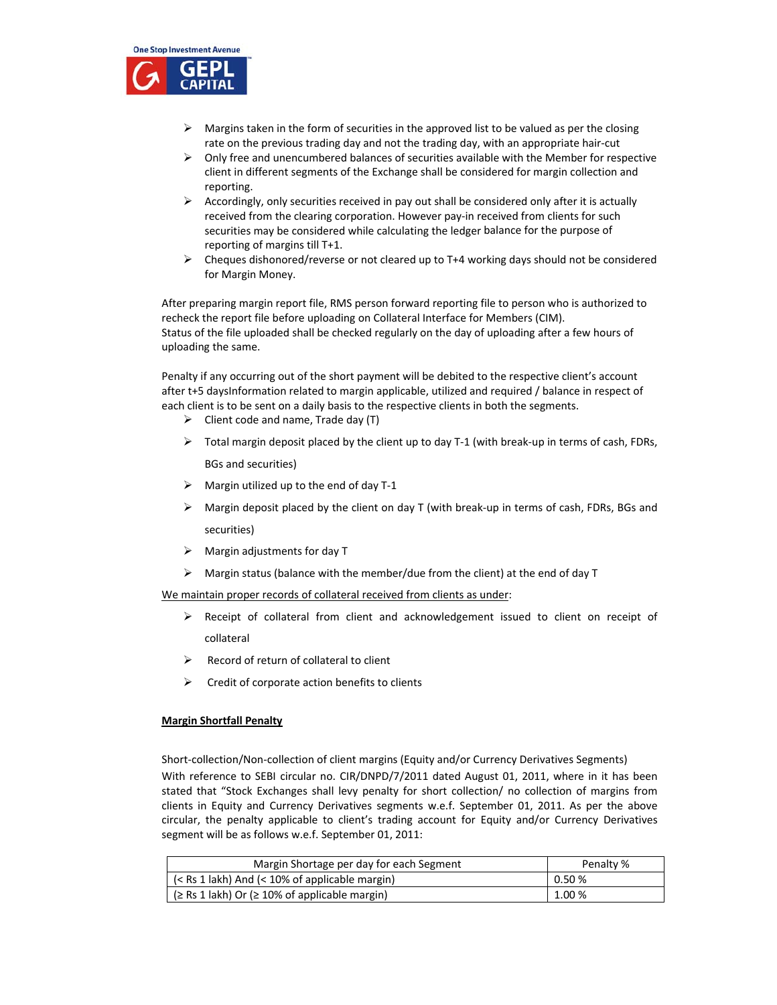

- $\triangleright$  Margins taken in the form of securities in the approved list to be valued as per the closing rate on the previous trading day and not the trading day, with an appropriate hair‐cut
- $\triangleright$  Only free and unencumbered balances of securities available with the Member for respective client in different segments of the Exchange shall be considered for margin collection and reporting.
- $\triangleright$  Accordingly, only securities received in pay out shall be considered only after it is actually received from the clearing corporation. However pay-in received from clients for such securities may be considered while calculating the ledger balance for the purpose of reporting of margins till T+1.
- $\triangleright$  Cheques dishonored/reverse or not cleared up to T+4 working days should not be considered for Margin Money.

After preparing margin report file, RMS person forward reporting file to person who is authorized to recheck the report file before uploading on Collateral Interface for Members (CIM). Status of the file uploaded shall be checked regularly on the day of uploading after a few hours of uploading the same.

Penalty if any occurring out of the short payment will be debited to the respective client's account after t+5 daysInformation related to margin applicable, utilized and required / balance in respect of each client is to be sent on a daily basis to the respective clients in both the segments.

- $\triangleright$  Client code and name, Trade day (T)
- $\triangleright$  Total margin deposit placed by the client up to day T-1 (with break-up in terms of cash, FDRs, BGs and securities)
- $\triangleright$  Margin utilized up to the end of day T-1
- $\triangleright$  Margin deposit placed by the client on day T (with break-up in terms of cash, FDRs, BGs and securities)
- $\triangleright$  Margin adjustments for day T
- $\triangleright$  Margin status (balance with the member/due from the client) at the end of day T

We maintain proper records of collateral received from clients as under:

- $\triangleright$  Receipt of collateral from client and acknowledgement issued to client on receipt of collateral
- $\triangleright$  Record of return of collateral to client
- $\triangleright$  Credit of corporate action benefits to clients

#### **Margin Shortfall Penalty**

Short‐collection/Non‐collection of client margins (Equity and/or Currency Derivatives Segments) With reference to SEBI circular no. CIR/DNPD/7/2011 dated August 01, 2011, where in it has been stated that "Stock Exchanges shall levy penalty for short collection/ no collection of margins from clients in Equity and Currency Derivatives segments w.e.f. September 01, 2011. As per the above circular, the penalty applicable to client's trading account for Equity and/or Currency Derivatives segment will be as follows w.e.f. September 01, 2011:

| Margin Shortage per day for each Segment               | Penalty %  |
|--------------------------------------------------------|------------|
| $(<$ Rs 1 lakh) And $(<$ 10% of applicable margin)     | $0.50\,\%$ |
| $($ \ Rs 1 lakh) Or ( $\geq$ 10% of applicable margin) | 1.00 %     |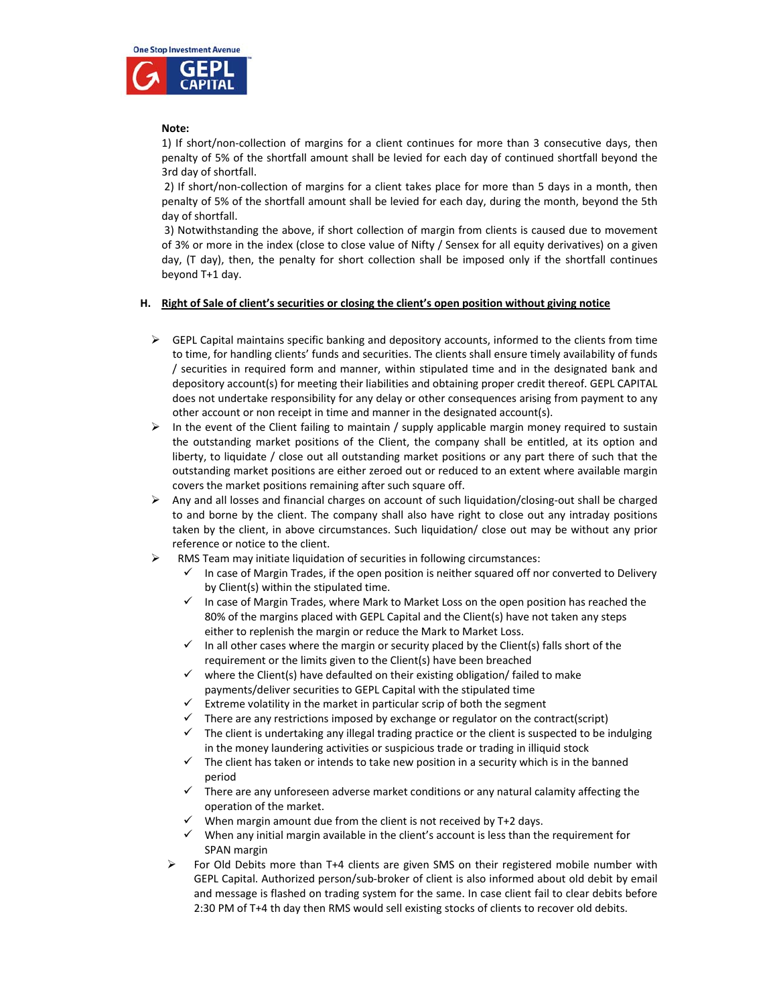

### **Note:**

1) If short/non‐collection of margins for a client continues for more than 3 consecutive days, then penalty of 5% of the shortfall amount shall be levied for each day of continued shortfall beyond the 3rd day of shortfall.

2) If short/non-collection of margins for a client takes place for more than 5 days in a month, then penalty of 5% of the shortfall amount shall be levied for each day, during the month, beyond the 5th day of shortfall.

3) Notwithstanding the above, if short collection of margin from clients is caused due to movement of 3% or more in the index (close to close value of Nifty / Sensex for all equity derivatives) on a given day, (T day), then, the penalty for short collection shall be imposed only if the shortfall continues beyond T+1 day.

#### **H. Right of Sale of client's securities or closing the client's open position without giving notice**

- $\triangleright$  GEPL Capital maintains specific banking and depository accounts, informed to the clients from time to time, for handling clients' funds and securities. The clients shall ensure timely availability of funds / securities in required form and manner, within stipulated time and in the designated bank and depository account(s) for meeting their liabilities and obtaining proper credit thereof. GEPL CAPITAL does not undertake responsibility for any delay or other consequences arising from payment to any other account or non receipt in time and manner in the designated account(s).
- $\triangleright$  In the event of the Client failing to maintain / supply applicable margin money required to sustain the outstanding market positions of the Client, the company shall be entitled, at its option and liberty, to liquidate / close out all outstanding market positions or any part there of such that the outstanding market positions are either zeroed out or reduced to an extent where available margin covers the market positions remaining after such square off.
- Any and all losses and financial charges on account of such liquidation/closing‐out shall be charged to and borne by the client. The company shall also have right to close out any intraday positions taken by the client, in above circumstances. Such liquidation/ close out may be without any prior reference or notice to the client.
- RMS Team may initiate liquidation of securities in following circumstances:
	- In case of Margin Trades, if the open position is neither squared off nor converted to Delivery by Client(s) within the stipulated time.
	- $\checkmark$  In case of Margin Trades, where Mark to Market Loss on the open position has reached the 80% of the margins placed with GEPL Capital and the Client(s) have not taken any steps either to replenish the margin or reduce the Mark to Market Loss.
	- $\checkmark$  In all other cases where the margin or security placed by the Client(s) falls short of the requirement or the limits given to the Client(s) have been breached
	- $\checkmark$  where the Client(s) have defaulted on their existing obligation/ failed to make payments/deliver securities to GEPL Capital with the stipulated time
	- Extreme volatility in the market in particular scrip of both the segment
	- $\checkmark$  There are any restrictions imposed by exchange or regulator on the contract(script)
	- The client is undertaking any illegal trading practice or the client is suspected to be indulging in the money laundering activities or suspicious trade or trading in illiquid stock
	- $\checkmark$  The client has taken or intends to take new position in a security which is in the banned period
	- $\checkmark$  There are any unforeseen adverse market conditions or any natural calamity affecting the operation of the market.
	- $\checkmark$  When margin amount due from the client is not received by T+2 days.
	- $\checkmark$  When any initial margin available in the client's account is less than the requirement for SPAN margin
	- $\triangleright$  For Old Debits more than T+4 clients are given SMS on their registered mobile number with GEPL Capital. Authorized person/sub‐broker of client is also informed about old debit by email and message is flashed on trading system for the same. In case client fail to clear debits before 2:30 PM of T+4 th day then RMS would sell existing stocks of clients to recover old debits.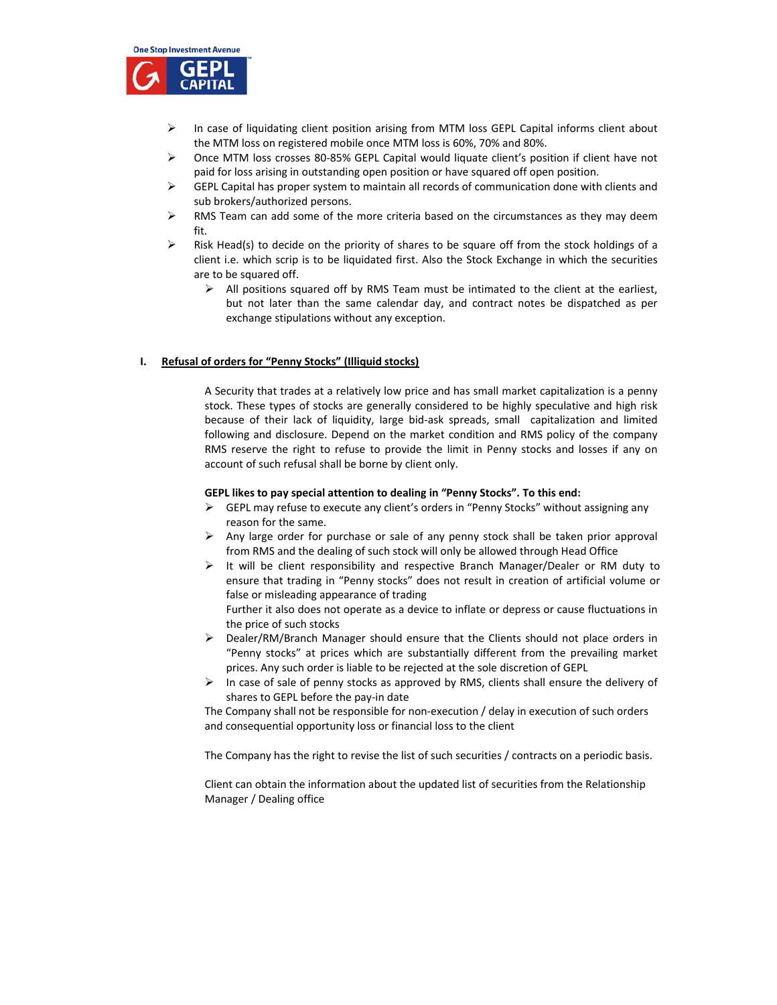

- $\triangleright$  In case of liquidating client position arising from MTM loss GEPL Capital informs client about the MTM loss on registered mobile once MTM loss is 60%, 70% and 80%.
- Once MTM loss crosses 80‐85% GEPL Capital would liquate client's position if client have not paid for loss arising in outstanding open position or have squared off open position.
- $\triangleright$  GEPL Capital has proper system to maintain all records of communication done with clients and sub brokers/authorized persons.
- $\triangleright$  RMS Team can add some of the more criteria based on the circumstances as they may deem fit.
- $\triangleright$  Risk Head(s) to decide on the priority of shares to be square off from the stock holdings of a client i.e. which scrip is to be liquidated first. Also the Stock Exchange in which the securities are to be squared off.
	- $\triangleright$  All positions squared off by RMS Team must be intimated to the client at the earliest, but not later than the same calendar day, and contract notes be dispatched as per exchange stipulations without any exception.

#### **I. Refusal of orders for "Penny Stocks" (Illiquid stocks)**

A Security that trades at a relatively low price and has small market capitalization is a penny stock. These types of stocks are generally considered to be highly speculative and high risk because of their lack of liquidity, large bid-ask spreads, small capitalization and limited following and disclosure. Depend on the market condition and RMS policy of the company RMS reserve the right to refuse to provide the limit in Penny stocks and losses if any on account of such refusal shall be borne by client only.

#### **GEPL likes to pay special attention to dealing in "Penny Stocks". To this end:**

- $\triangleright$  GEPL may refuse to execute any client's orders in "Penny Stocks" without assigning any reason for the same.
- $\triangleright$  Any large order for purchase or sale of any penny stock shall be taken prior approval from RMS and the dealing of such stock will only be allowed through Head Office
- $\triangleright$  It will be client responsibility and respective Branch Manager/Dealer or RM duty to ensure that trading in "Penny stocks" does not result in creation of artificial volume or false or misleading appearance of trading

Further it also does not operate as a device to inflate or depress or cause fluctuations in the price of such stocks

- Dealer/RM/Branch Manager should ensure that the Clients should not place orders in "Penny stocks" at prices which are substantially different from the prevailing market prices. Any such order is liable to be rejected at the sole discretion of GEPL
- $\triangleright$  In case of sale of penny stocks as approved by RMS, clients shall ensure the delivery of shares to GEPL before the pay‐in date

The Company shall not be responsible for non-execution / delay in execution of such orders and consequential opportunity loss or financial loss to the client

The Company has the right to revise the list of such securities / contracts on a periodic basis.

Client can obtain the information about the updated list of securities from the Relationship Manager / Dealing office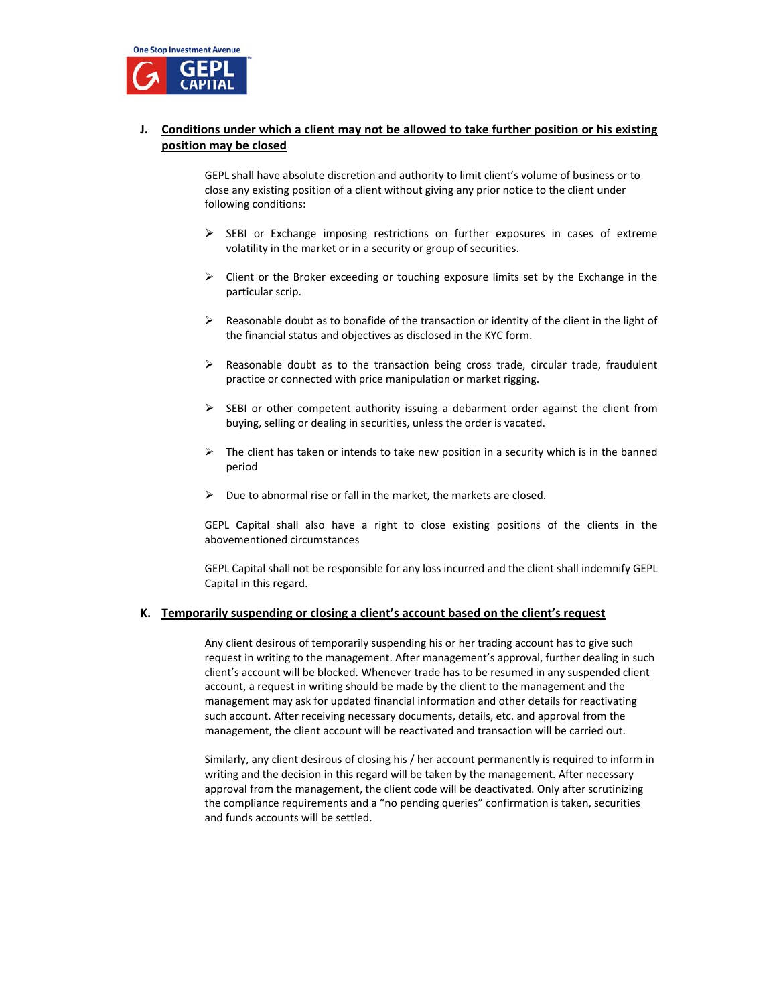

## **J. Conditions under which a client may not be allowed to take further position or his existing position may be closed**

GEPL shall have absolute discretion and authority to limit client's volume of business or to close any existing position of a client without giving any prior notice to the client under following conditions:

- $\triangleright$  SEBI or Exchange imposing restrictions on further exposures in cases of extreme volatility in the market or in a security or group of securities.
- $\triangleright$  Client or the Broker exceeding or touching exposure limits set by the Exchange in the particular scrip.
- $\triangleright$  Reasonable doubt as to bonafide of the transaction or identity of the client in the light of the financial status and objectives as disclosed in the KYC form.
- $\triangleright$  Reasonable doubt as to the transaction being cross trade, circular trade, fraudulent practice or connected with price manipulation or market rigging.
- $\triangleright$  SEBI or other competent authority issuing a debarment order against the client from buying, selling or dealing in securities, unless the order is vacated.
- $\triangleright$  The client has taken or intends to take new position in a security which is in the banned period
- $\triangleright$  Due to abnormal rise or fall in the market, the markets are closed.

GEPL Capital shall also have a right to close existing positions of the clients in the abovementioned circumstances

GEPL Capital shall not be responsible for any loss incurred and the client shall indemnify GEPL Capital in this regard.

## **K. Temporarily suspending or closing a client's account based on the client's request**

Any client desirous of temporarily suspending his or her trading account has to give such request in writing to the management. After management's approval, further dealing in such client's account will be blocked. Whenever trade has to be resumed in any suspended client account, a request in writing should be made by the client to the management and the management may ask for updated financial information and other details for reactivating such account. After receiving necessary documents, details, etc. and approval from the management, the client account will be reactivated and transaction will be carried out.

Similarly, any client desirous of closing his / her account permanently is required to inform in writing and the decision in this regard will be taken by the management. After necessary approval from the management, the client code will be deactivated. Only after scrutinizing the compliance requirements and a "no pending queries" confirmation is taken, securities and funds accounts will be settled.